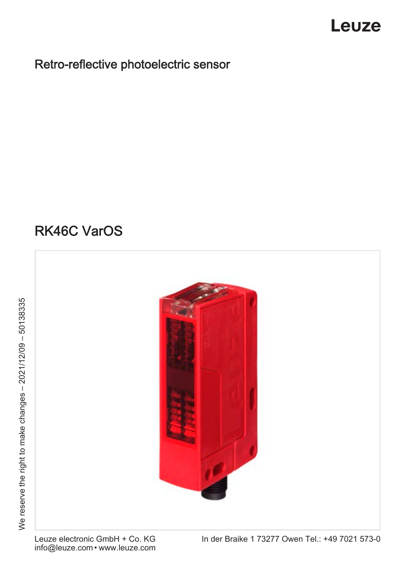## Leuze

### Retro-reflective photoelectric sensor

## RK46C VarOS

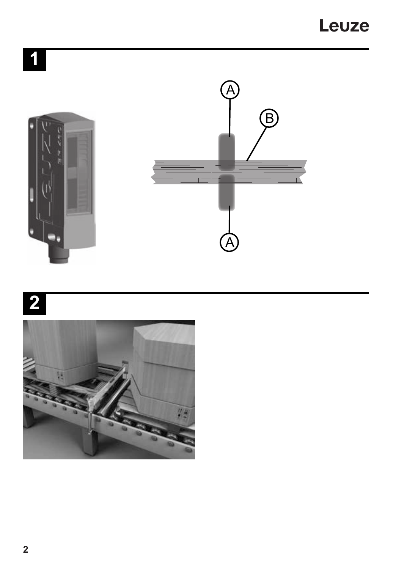Leuze

## $\overline{\mathbf{1}}$



## $\overline{\mathbf{2}}$

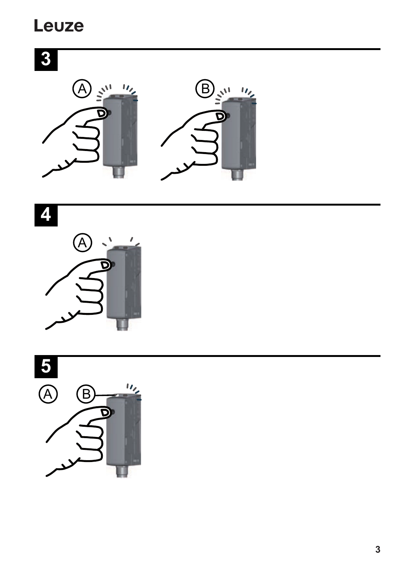## Leuze



u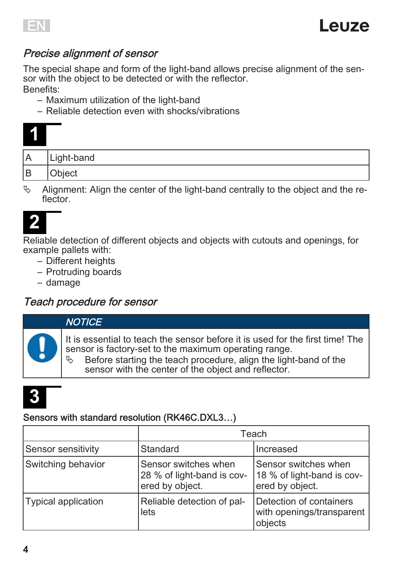

#### Precise alignment of sensor

The special shape and form of the light-band allows precise alignment of the sensor with the object to be detected or with the reflector. Benefits:

- Maximum utilization of the light-band
- Reliable detection even with shocks/vibrations

| Α | Light-band |
|---|------------|
| B | Object     |

 $\%$  Alignment: Align the center of the light-band centrally to the object and the reflector

## **2**

Reliable detection of different objects and objects with cutouts and openings, for example pallets with:

- Different heights
- Protruding boards
- damage

#### Teach procedure for sensor

#### **NOTICE**

It is essential to teach the sensor before it is used for the first time! The sensor is factory-set to the maximum operating range.<br>  $\not\uparrow$  Before starting the teach procedure, align the light

Before starting the teach procedure, align the light-band of the sensor with the center of the object and reflector.



#### Sensors with standard resolution (RK46C.DXL3…)

|                     | Teach                                                                 |                                                                       |
|---------------------|-----------------------------------------------------------------------|-----------------------------------------------------------------------|
| Sensor sensitivity  | Standard                                                              | Increased                                                             |
| Switching behavior  | Sensor switches when<br>28 % of light-band is cov-<br>ered by object. | Sensor switches when<br>18 % of light-band is cov-<br>ered by object. |
| Typical application | Reliable detection of pal-<br>lets                                    | Detection of containers<br>with openings/transparent<br>objects       |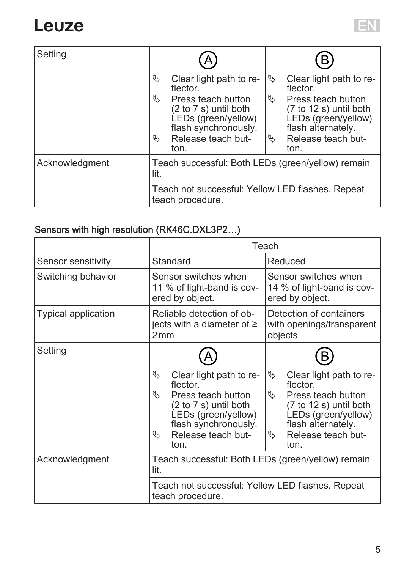Setting

| Clear light path to re-<br>flector.                                                        |    | Clear light path to re-<br>flector.                                                       |
|--------------------------------------------------------------------------------------------|----|-------------------------------------------------------------------------------------------|
| Press teach button<br>(2 to 7 s) until both<br>LEDs (green/yellow)<br>flash synchronously. | Ų, | Press teach button<br>(7 to 12 s) until both<br>LEDs (green/yellow)<br>flash alternately. |

|                | <b>HASH SYNGHOLIOUSLY.</b><br>Release teach but-<br>ᡧ<br>ton.        | $maxi$ alternately.<br>14<br>Release teach but-<br>ton. |  |
|----------------|----------------------------------------------------------------------|---------------------------------------------------------|--|
| Acknowledgment | Teach successful: Both LEDs (green/yellow) remain<br>lit.            |                                                         |  |
|                | Teach not successful: Yellow LED flashes. Repeat<br>teach procedure. |                                                         |  |

#### Sensors with high resolution (RK46C.DXL3P2…)

|                            | Teach                                                                                                                                                                           |                                                                                                                                                                                  |  |
|----------------------------|---------------------------------------------------------------------------------------------------------------------------------------------------------------------------------|----------------------------------------------------------------------------------------------------------------------------------------------------------------------------------|--|
| Sensor sensitivity         | Standard                                                                                                                                                                        | Reduced                                                                                                                                                                          |  |
| Switching behavior         | Sensor switches when<br>11 % of light-band is cov-<br>ered by object.                                                                                                           | Sensor switches when<br>14 % of light-band is cov-<br>ered by object.                                                                                                            |  |
| <b>Typical application</b> | Reliable detection of ob-<br>jects with a diameter of $\geq$<br>2mm                                                                                                             | Detection of containers<br>with openings/transparent<br>objects                                                                                                                  |  |
| Setting                    |                                                                                                                                                                                 |                                                                                                                                                                                  |  |
|                            | B<br>Clear light path to re-<br>flector.<br>I,<br>Press teach button<br>(2 to 7 s) until both<br>LEDs (green/yellow)<br>flash synchronously.<br>Release teach but-<br>B<br>ton. | Clear light path to re-<br>D.<br>flector.<br>D.<br>Press teach button<br>(7 to 12 s) until both<br>LEDs (green/yellow)<br>flash alternately.<br>Release teach but-<br>G.<br>ton. |  |
| Acknowledgment             | Teach successful: Both LEDs (green/yellow) remain<br>lit.                                                                                                                       |                                                                                                                                                                                  |  |
|                            | Teach not successful: Yellow LED flashes. Repeat<br>teach procedure.                                                                                                            |                                                                                                                                                                                  |  |